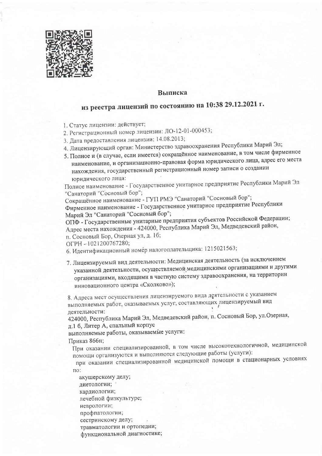

## **Выписка**

## из реестра лицензий по состоянию на 10:38 29.12.2021 г.

1. Статус лицензии: действует;

- 2. Регистрационный номер лицензии: ЛО-12-01-000453;
- 3. Дата предоставления лицензии: 14.08.2013;
- 4. Лицензирующий орган: Министерство здравоохранения Республики Марий Эл;
- 5. Полное и (в случае, если имеется) сокращённое наименование, в том числе фирменное наименование, и организационно-правовая форма юридического лица, адрес его места нахождения, государственный регистрационный номер записи о создании юридического лица:

Полное наименование - Государственное унитарное предприятие Республики Марий Эл "Санаторий "Сосновый бор";

Сокращённое наименование - ГУП РМЭ "Санаторий "Сосновый бор";

Фирменное наименование - Государственное унитарное предприятие Республики Марий Эл "Санаторий "Сосновый бор";

ОПФ - Государственные унитарные предприятия субъектов Российской Федерации; Адрес места нахождения - 424000, Республика Марий Эл, Медведевский район, п. Сосновый Бор, Озерная ул, д. 1б;

ОГРН - 1021200767280;

- 6. Идентификационный номер налогоплательщика: 1215021563;
- 7. Лицензируемый вид деятельности: Медицинская деятельность (за исключением указанной деятельности, осуществляемой медицинскими организациями и другими организациями, входящими в частную систему здравоохранения, на территории инновационного центра «Сколково»);

8. Адреса мест осуществления лицензируемого вида деятельности с указанием выполняемых работ, оказываемых услуг, составляющих лицензируемый вид деятельности:

424000, Республика Марий Эл, Медведевский район, п. Сосновый Бор, ул. Озерная, д.1 б, Литер А, спальный корпус

выполняемые работы, оказываемые услуги:

## Приказ 866н;

При оказании специализированной, в том числе высокотехнологичной, медицинской помощи организуются и выполняются следующие работы (услуги):

при оказании специализированной медицинской помощи в стационарных условиях по:

акушерскому делу;

диетологии;

кардиологии;

лечебной физкультуре;

неврологии;

профпатологии;

сестринскому делу;

травматологии и ортопедии; функциональной диагностике;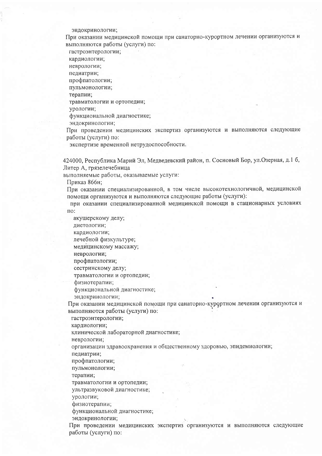эндокринологии;

При оказании медицинской помощи при санаторно-курортном лечении организуются и выполняются работы (услуги) по:

гастроэнтерологии;

кардиологии;

неврологии;

педиатрии;

профпатологии; пульмонологии;

терапии;

травматологии и ортопедии;

урологии;

функциональной диагностике;

эндокринологии;

При проведении медицинских экспертиз организуются и выполняются следующие работы (услуги) по:

экспертизе временной нетрудоспособности.

424000. Республика Марий Эл, Медведевский район, п. Сосновый Бор, ул. Озерная, д.1 б, Литер А, грязелечебница

выполняемые работы, оказываемые услуги:

Приказ 866н:

При оказании специализированной, в том числе высокотехнологичной, медицинской помощи организуются и выполняются следующие работы (услуги):

при оказании специализированной медицинской помощи в стационарных условиях по:

акушерскому делу;

диетологии;

кардиологии;

лечебной физкультуре;

медицинскому массажу;

неврологии:

профпатологии;

сестринскому делу;

травматологии и ортопедии;

физиотерапии;

функциональной диагностике;

эндокринологии;

При оказании медицинской помощи при санаторно-курортном лечении организуются и выполняются работы (услуги) по:

гастроэнтерологии;

кардиологии;

клинической лабораторной диагностике;

неврологии;

организации здравоохранения и общественному здоровью, эпидемиологии; педиатрии;

профпатологии;

пульмонологии;

терапии;

травматологии и ортопедии;

ультразвуковой диагностике;

урологии;

физиотерапии;

функциональной диагностике;

эндокринологии;

При проведении медицинских экспертиз организуются и выполняются следующие работы (услуги) по: